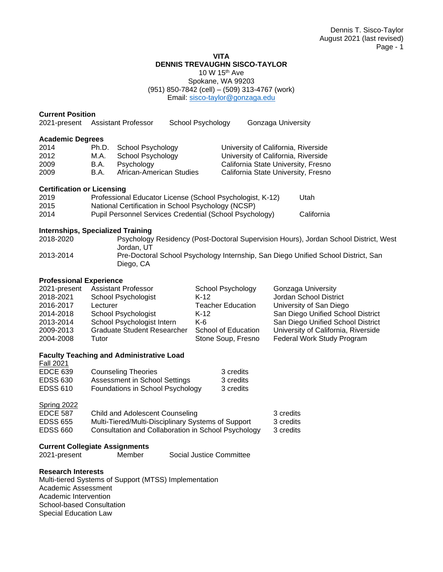#### **VITA DENNIS TREVAUGHN SISCO-TAYLOR**

10 W 15th Ave

Spokane, WA 99203 (951) 850-7842 (cell) – (509) 313-4767 (work) Email: [sisco-taylor@gonzaga.edu](mailto:sisco-taylor@gonzaga.edu)

# **Current Position**<br>2021-present Assistant Professor

| 2021-present            |       | <b>Assistant Professor</b> | School Psychology | Gonzaga University                  |
|-------------------------|-------|----------------------------|-------------------|-------------------------------------|
| <b>Academic Degrees</b> |       |                            |                   |                                     |
| 2014                    | Ph.D. | School Psychology          |                   | University of California, Riverside |
| 2012                    | M.A.  | School Psychology          |                   | University of California, Riverside |
| 2009                    | B.A.  | Psychology                 |                   | California State University, Fresno |
| 2009                    | B.A.  | African-American Studies   |                   | California State University, Fresno |
|                         |       |                            |                   |                                     |

#### **Certification or Licensing**

| 2019 | Professional Educator License (School Psychologist, K-12) | Utah       |
|------|-----------------------------------------------------------|------------|
| 2015 | National Certification in School Psychology (NCSP)        |            |
| 2014 | Pupil Personnel Services Credential (School Psychology)   | California |

# **Internships, Specialized Training**

| 2018-2020 | Psychology Residency (Post-Doctoral Supervision Hours), Jordan School District, West<br>Jordan, UT |
|-----------|----------------------------------------------------------------------------------------------------|
| 2013-2014 | Pre-Doctoral School Psychology Internship, San Diego Unified School District, San<br>Diego, CA     |

# **Professional Experience**

| 2021-present | <b>Assistant Professor</b>         | School Psychology        | Gonzaga University                  |
|--------------|------------------------------------|--------------------------|-------------------------------------|
| 2018-2021    | School Psychologist                | $K-12$                   | Jordan School District              |
| 2016-2017    | Lecturer                           | <b>Teacher Education</b> | University of San Diego             |
| 2014-2018    | School Psychologist                | K-12                     | San Diego Unified School District   |
| 2013-2014    | School Psychologist Intern         | $K-6$                    | San Diego Unified School District   |
| 2009-2013    | <b>Graduate Student Researcher</b> | School of Education      | University of California, Riverside |
| 2004-2008    | Tutor                              | Stone Soup, Fresno       | Federal Work Study Program          |

# **Faculty Teaching and Administrative Load**

| <b>Fall 2021</b> |                                  |           |
|------------------|----------------------------------|-----------|
| <b>EDCE 639</b>  | <b>Counseling Theories</b>       | 3 credits |
| EDSS 630         | Assessment in School Settings    | 3 credits |
| <b>EDSS 610</b>  | Foundations in School Psychology | 3 credits |

# Spring 2022

| EDCE 587 | Child and Adolescent Counseling                     | 3 credits |
|----------|-----------------------------------------------------|-----------|
| EDSS 655 | Multi-Tiered/Multi-Disciplinary Systems of Support  | 3 credits |
| EDSS 660 | Consultation and Collaboration in School Psychology | 3 credits |

# **Current Collegiate Assignments**

Social Justice Committee

# **Research Interests**

Multi-tiered Systems of Support (MTSS) Implementation Academic Assessment Academic Intervention School-based Consultation Special Education Law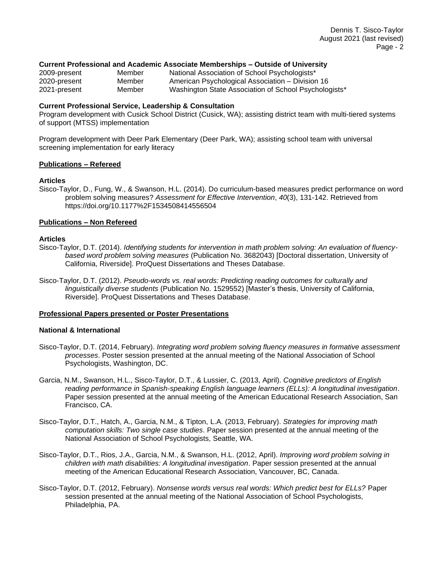#### **Current Professional and Academic Associate Memberships – Outside of University**

| 2009-present | Member | National Association of School Psychologists*         |
|--------------|--------|-------------------------------------------------------|
| 2020-present | Member | American Psychological Association – Division 16      |
| 2021-present | Member | Washington State Association of School Psychologists* |

#### **Current Professional Service, Leadership & Consultation**

Program development with Cusick School District (Cusick, WA); assisting district team with multi-tiered systems of support (MTSS) implementation

Program development with Deer Park Elementary (Deer Park, WA); assisting school team with universal screening implementation for early literacy

#### **Publications – Refereed**

#### **Articles**

Sisco-Taylor, D., Fung, W., & Swanson, H.L. (2014). Do curriculum-based measures predict performance on word problem solving measures? *Assessment for Effective Intervention*, *40*(3), 131-142. Retrieved from https://doi.org/10.1177%2F1534508414556504

#### **Publications – Non Refereed**

#### **Articles**

- Sisco-Taylor, D.T. (2014). *Identifying students for intervention in math problem solving: An evaluation of fluencybased word problem solving measures* (Publication No. 3682043) [Doctoral dissertation, University of California, Riverside]. ProQuest Dissertations and Theses Database.
- Sisco-Taylor, D.T. (2012). *Pseudo-words vs. real words: Predicting reading outcomes for culturally and linguistically diverse students* (Publication No. 1529552) [Master's thesis, University of California, Riverside]. ProQuest Dissertations and Theses Database.

#### **Professional Papers presented or Poster Presentations**

#### **National & International**

- Sisco-Taylor, D.T. (2014, February). *Integrating word problem solving fluency measures in formative assessment processes*. Poster session presented at the annual meeting of the National Association of School Psychologists, Washington, DC.
- Garcia, N.M., Swanson, H.L., Sisco-Taylor, D.T., & Lussier, C. (2013, April). *Cognitive predictors of English reading performance in Spanish-speaking English language learners (ELLs): A longitudinal investigation*. Paper session presented at the annual meeting of the American Educational Research Association, San Francisco, CA.
- Sisco-Taylor, D.T., Hatch, A., Garcia, N.M., & Tipton, L.A. (2013, February). *Strategies for improving math computation skills: Two single case studies*. Paper session presented at the annual meeting of the National Association of School Psychologists, Seattle, WA.
- Sisco-Taylor, D.T., Rios, J.A., Garcia, N.M., & Swanson, H.L. (2012, April). *Improving word problem solving in children with math disabilities: A longitudinal investigation*. Paper session presented at the annual meeting of the American Educational Research Association, Vancouver, BC, Canada.
- Sisco-Taylor, D.T. (2012, February). *Nonsense words versus real words: Which predict best for ELLs?* Paper session presented at the annual meeting of the National Association of School Psychologists, Philadelphia, PA.